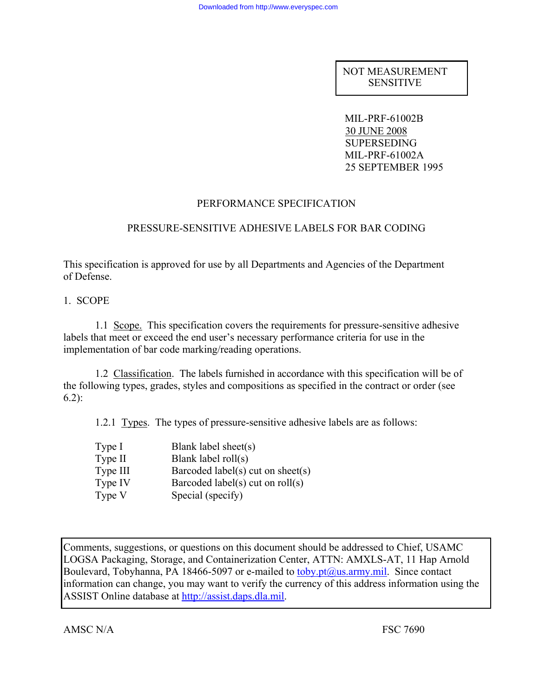NOT MEASUREMENT SENSITIVE

 MIL-PRF-61002B 30 JUNE 2008 SUPERSEDING MIL-PRF-61002A 25 SEPTEMBER 1995

### PERFORMANCE SPECIFICATION

### PRESSURE-SENSITIVE ADHESIVE LABELS FOR BAR CODING

This specification is approved for use by all Departments and Agencies of the Department of Defense.

1. SCOPE

 1.1 Scope. This specification covers the requirements for pressure-sensitive adhesive labels that meet or exceed the end user's necessary performance criteria for use in the implementation of bar code marking/reading operations.

 1.2 Classification. The labels furnished in accordance with this specification will be of the following types, grades, styles and compositions as specified in the contract or order (see 6.2):

1.2.1 Types. The types of pressure-sensitive adhesive labels are as follows:

| Type I   | Blank label sheet(s)               |
|----------|------------------------------------|
| Type II  | Blank label $roll(s)$              |
| Type III | Barcoded label(s) cut on sheet(s)  |
| Type IV  | Barcoded label(s) cut on $roll(s)$ |
| Type V   | Special (specify)                  |

Comments, suggestions, or questions on this document should be addressed to Chief, USAMC LOGSA Packaging, Storage, and Containerization Center, ATTN: AMXLS-AT, 11 Hap Arnold Boulevard, Tobyhanna, PA 18466-5097 or e-mailed to  $\underline{toby pt@us.army.mil}$ . Since contact information can change, you may want to verify the currency of this address information using the ASSIST Online database at http://assist.daps.dla.mil.

AMSC N/A FSC 7690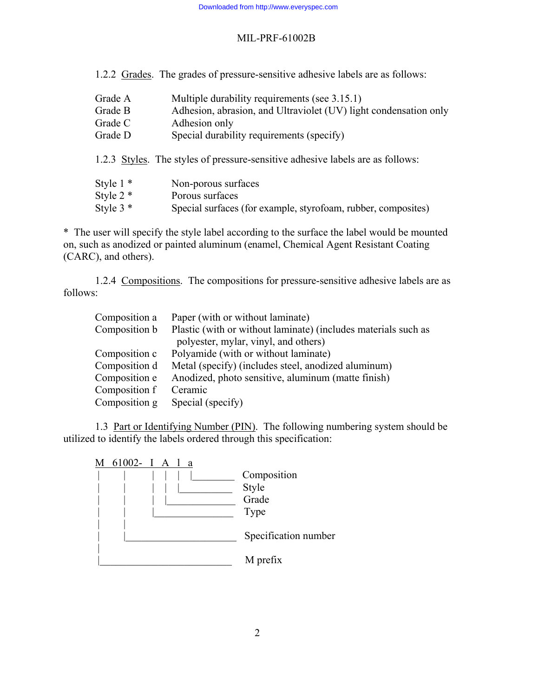1.2.2 Grades. The grades of pressure-sensitive adhesive labels are as follows:

| Grade A     | Multiple durability requirements (see 3.15.1)                                  |
|-------------|--------------------------------------------------------------------------------|
| Grade B     | Adhesion, abrasion, and Ultraviolet (UV) light condensation only               |
| Grade C     | Adhesion only                                                                  |
| Grade D     | Special durability requirements (specify)                                      |
|             | 1.2.3 Styles. The styles of pressure-sensitive adhesive labels are as follows: |
| Style $1 *$ | Non-porous surfaces                                                            |
| Style $2 *$ | Porous surfaces                                                                |
| Style $3 *$ | Special surfaces (for example, styrofoam, rubber, composites)                  |

\* The user will specify the style label according to the surface the label would be mounted on, such as anodized or painted aluminum (enamel, Chemical Agent Resistant Coating (CARC), and others).

 1.2.4 Compositions. The compositions for pressure-sensitive adhesive labels are as follows:

| Composition a | Paper (with or without laminate)                               |
|---------------|----------------------------------------------------------------|
| Composition b | Plastic (with or without laminate) (includes materials such as |
|               | polyester, mylar, vinyl, and others)                           |
| Composition c | Polyamide (with or without laminate)                           |
| Composition d | Metal (specify) (includes steel, anodized aluminum)            |
| Composition e | Anodized, photo sensitive, aluminum (matte finish)             |
| Composition f | Ceramic                                                        |
| Composition g | Special (specify)                                              |
|               |                                                                |

 1.3 Part or Identifying Number (PIN). The following numbering system should be utilized to identify the labels ordered through this specification:

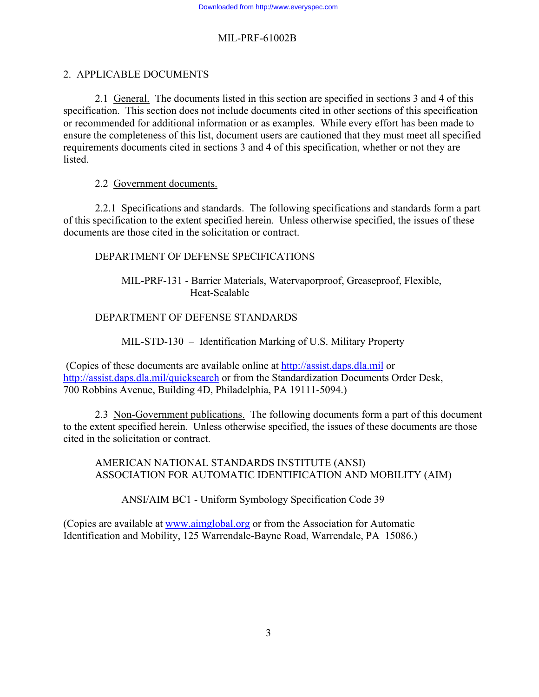# 2. APPLICABLE DOCUMENTS

 2.1 General. The documents listed in this section are specified in sections 3 and 4 of this specification. This section does not include documents cited in other sections of this specification or recommended for additional information or as examples. While every effort has been made to ensure the completeness of this list, document users are cautioned that they must meet all specified requirements documents cited in sections 3 and 4 of this specification, whether or not they are listed.

2.2 Government documents.

 2.2.1 Specifications and standards. The following specifications and standards form a part of this specification to the extent specified herein. Unless otherwise specified, the issues of these documents are those cited in the solicitation or contract.

# DEPARTMENT OF DEFENSE SPECIFICATIONS

 MIL-PRF-131 - Barrier Materials, Watervaporproof, Greaseproof, Flexible, Heat-Sealable

### DEPARTMENT OF DEFENSE STANDARDS

MIL-STD-130 – Identification Marking of U.S. Military Property

 (Copies of these documents are available online at http://assist.daps.dla.mil or http://assist.daps.dla.mil/quicksearch or from the Standardization Documents Order Desk, 700 Robbins Avenue, Building 4D, Philadelphia, PA 19111-5094.)

2.3 Non-Government publications. The following documents form a part of this document to the extent specified herein. Unless otherwise specified, the issues of these documents are those cited in the solicitation or contract.

 AMERICAN NATIONAL STANDARDS INSTITUTE (ANSI) ASSOCIATION FOR AUTOMATIC IDENTIFICATION AND MOBILITY (AIM)

ANSI/AIM BC1 - Uniform Symbology Specification Code 39

(Copies are available at www.aimglobal.org or from the Association for Automatic Identification and Mobility, 125 Warrendale-Bayne Road, Warrendale, PA 15086.)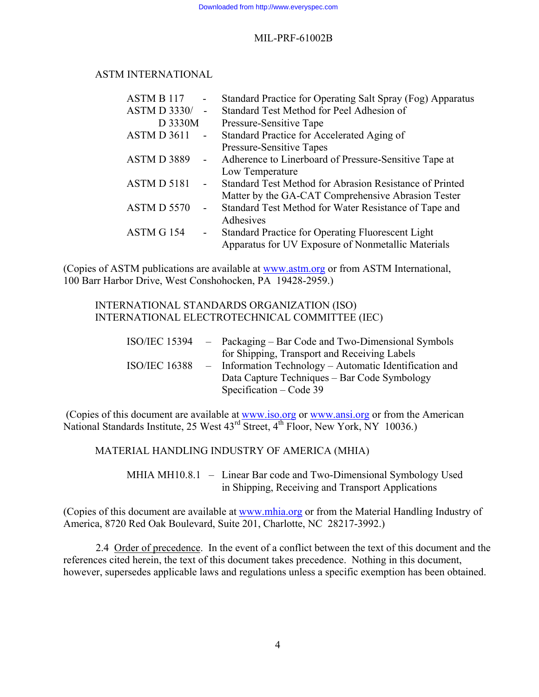# ASTM INTERNATIONAL

| <b>ASTM B 117</b>   | $\blacksquare$           | Standard Practice for Operating Salt Spray (Fog) Apparatus |
|---------------------|--------------------------|------------------------------------------------------------|
| <b>ASTM D 3330/</b> | $\overline{a}$           | Standard Test Method for Peel Adhesion of                  |
| D 3330M             |                          | Pressure-Sensitive Tape                                    |
| ASTM D 3611         | $\sim$                   | Standard Practice for Accelerated Aging of                 |
|                     |                          | <b>Pressure-Sensitive Tapes</b>                            |
| ASTMD 3889          |                          | Adherence to Linerboard of Pressure-Sensitive Tape at      |
|                     |                          | Low Temperature                                            |
| ASTMD 5181          | $\blacksquare$           | Standard Test Method for Abrasion Resistance of Printed    |
|                     |                          | Matter by the GA-CAT Comprehensive Abrasion Tester         |
| ASTM D 5570         | $\overline{\phantom{a}}$ | Standard Test Method for Water Resistance of Tape and      |
|                     |                          | Adhesives                                                  |
| ASTM G 154          | ۰                        | Standard Practice for Operating Fluorescent Light          |
|                     |                          | Apparatus for UV Exposure of Nonmetallic Materials         |
|                     |                          |                                                            |

(Copies of ASTM publications are available at www.astm.org or from ASTM International, 100 Barr Harbor Drive, West Conshohocken, PA 19428-2959.)

#### INTERNATIONAL STANDARDS ORGANIZATION (ISO) INTERNATIONAL ELECTROTECHNICAL COMMITTEE (IEC)

|                      | $ISO/IEC$ 15394 – Packaging – Bar Code and Two-Dimensional Symbols |
|----------------------|--------------------------------------------------------------------|
|                      | for Shipping, Transport and Receiving Labels                       |
| <b>ISO/IEC 16388</b> | - Information Technology – Automatic Identification and            |
|                      | Data Capture Techniques – Bar Code Symbology                       |
|                      | Specification $-$ Code 39                                          |

 (Copies of this document are available at www.iso.org or www.ansi.org or from the American National Standards Institute, 25 West  $43^{\text{rd}}$  Street,  $4^{\text{th}}$  Floor, New York, NY 10036.)

# MATERIAL HANDLING INDUSTRY OF AMERICA (MHIA)

 MHIA MH10.8.1 – Linear Bar code and Two-Dimensional Symbology Used in Shipping, Receiving and Transport Applications

(Copies of this document are available at www.mhia.org or from the Material Handling Industry of America, 8720 Red Oak Boulevard, Suite 201, Charlotte, NC 28217-3992.)

2.4 Order of precedence. In the event of a conflict between the text of this document and the references cited herein, the text of this document takes precedence. Nothing in this document, however, supersedes applicable laws and regulations unless a specific exemption has been obtained.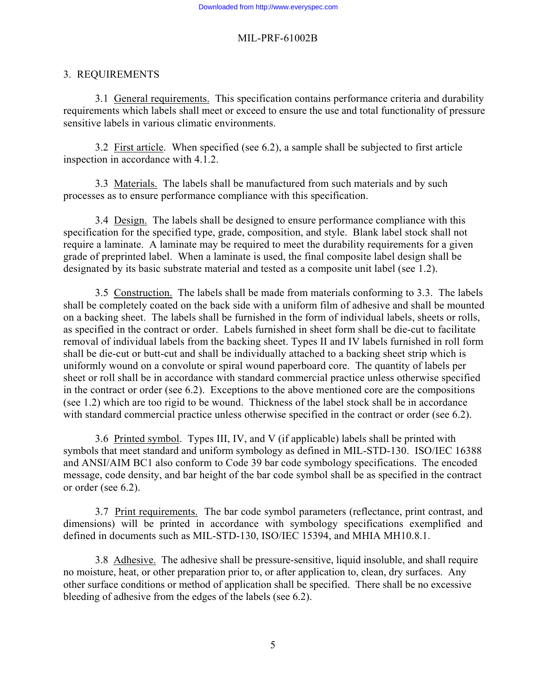#### 3. REQUIREMENTS

 3.1 General requirements. This specification contains performance criteria and durability requirements which labels shall meet or exceed to ensure the use and total functionality of pressure sensitive labels in various climatic environments.

 3.2 First article. When specified (see 6.2), a sample shall be subjected to first article inspection in accordance with 4.1.2.

 3.3 Materials. The labels shall be manufactured from such materials and by such processes as to ensure performance compliance with this specification.

 3.4 Design. The labels shall be designed to ensure performance compliance with this specification for the specified type, grade, composition, and style. Blank label stock shall not require a laminate. A laminate may be required to meet the durability requirements for a given grade of preprinted label. When a laminate is used, the final composite label design shall be designated by its basic substrate material and tested as a composite unit label (see 1.2).

 3.5 Construction. The labels shall be made from materials conforming to 3.3. The labels shall be completely coated on the back side with a uniform film of adhesive and shall be mounted on a backing sheet. The labels shall be furnished in the form of individual labels, sheets or rolls, as specified in the contract or order. Labels furnished in sheet form shall be die-cut to facilitate removal of individual labels from the backing sheet. Types II and IV labels furnished in roll form shall be die-cut or butt-cut and shall be individually attached to a backing sheet strip which is uniformly wound on a convolute or spiral wound paperboard core. The quantity of labels per sheet or roll shall be in accordance with standard commercial practice unless otherwise specified in the contract or order (see 6.2). Exceptions to the above mentioned core are the compositions (see 1.2) which are too rigid to be wound. Thickness of the label stock shall be in accordance with standard commercial practice unless otherwise specified in the contract or order (see 6.2).

 3.6 Printed symbol. Types III, IV, and V (if applicable) labels shall be printed with symbols that meet standard and uniform symbology as defined in MIL-STD-130. ISO/IEC 16388 and ANSI/AIM BC1 also conform to Code 39 bar code symbology specifications. The encoded message, code density, and bar height of the bar code symbol shall be as specified in the contract or order (see 6.2).

 3.7 Print requirements. The bar code symbol parameters (reflectance, print contrast, and dimensions) will be printed in accordance with symbology specifications exemplified and defined in documents such as MIL-STD-130, ISO/IEC 15394, and MHIA MH10.8.1.

3.8 Adhesive. The adhesive shall be pressure-sensitive, liquid insoluble, and shall require no moisture, heat, or other preparation prior to, or after application to, clean, dry surfaces. Any other surface conditions or method of application shall be specified. There shall be no excessive bleeding of adhesive from the edges of the labels (see 6.2).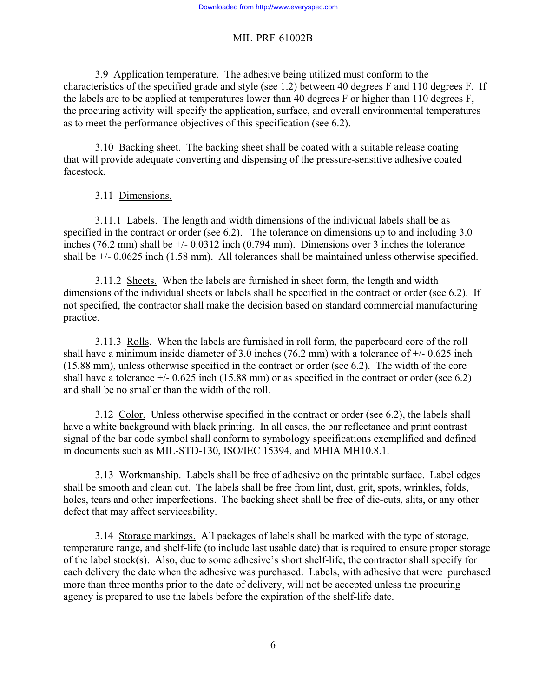3.9 Application temperature. The adhesive being utilized must conform to the characteristics of the specified grade and style (see 1.2) between 40 degrees F and 110 degrees F. If the labels are to be applied at temperatures lower than 40 degrees F or higher than 110 degrees F, the procuring activity will specify the application, surface, and overall environmental temperatures as to meet the performance objectives of this specification (see 6.2).

 3.10 Backing sheet. The backing sheet shall be coated with a suitable release coating that will provide adequate converting and dispensing of the pressure-sensitive adhesive coated facestock.

### 3.11 Dimensions.

 3.11.1 Labels. The length and width dimensions of the individual labels shall be as specified in the contract or order (see 6.2). The tolerance on dimensions up to and including 3.0 inches (76.2 mm) shall be +/- 0.0312 inch (0.794 mm). Dimensions over 3 inches the tolerance shall be +/- 0.0625 inch (1.58 mm). All tolerances shall be maintained unless otherwise specified.

 3.11.2 Sheets. When the labels are furnished in sheet form, the length and width dimensions of the individual sheets or labels shall be specified in the contract or order (see 6.2). If not specified, the contractor shall make the decision based on standard commercial manufacturing practice.

 3.11.3 Rolls. When the labels are furnished in roll form, the paperboard core of the roll shall have a minimum inside diameter of 3.0 inches (76.2 mm) with a tolerance of  $+/$ - 0.625 inch (15.88 mm), unless otherwise specified in the contract or order (see 6.2). The width of the core shall have a tolerance  $+/- 0.625$  inch (15.88 mm) or as specified in the contract or order (see 6.2) and shall be no smaller than the width of the roll.

 3.12 Color. Unless otherwise specified in the contract or order (see 6.2), the labels shall have a white background with black printing. In all cases, the bar reflectance and print contrast signal of the bar code symbol shall conform to symbology specifications exemplified and defined in documents such as MIL-STD-130, ISO/IEC 15394, and MHIA MH10.8.1.

 3.13 Workmanship. Labels shall be free of adhesive on the printable surface. Label edges shall be smooth and clean cut. The labels shall be free from lint, dust, grit, spots, wrinkles, folds, holes, tears and other imperfections. The backing sheet shall be free of die-cuts, slits, or any other defect that may affect serviceability.

 3.14 Storage markings. All packages of labels shall be marked with the type of storage, temperature range, and shelf-life (to include last usable date) that is required to ensure proper storage of the label stock(s). Also, due to some adhesive's short shelf-life, the contractor shall specify for each delivery the date when the adhesive was purchased. Labels, with adhesive that were purchased more than three months prior to the date of delivery, will not be accepted unless the procuring agency is prepared to use the labels before the expiration of the shelf-life date.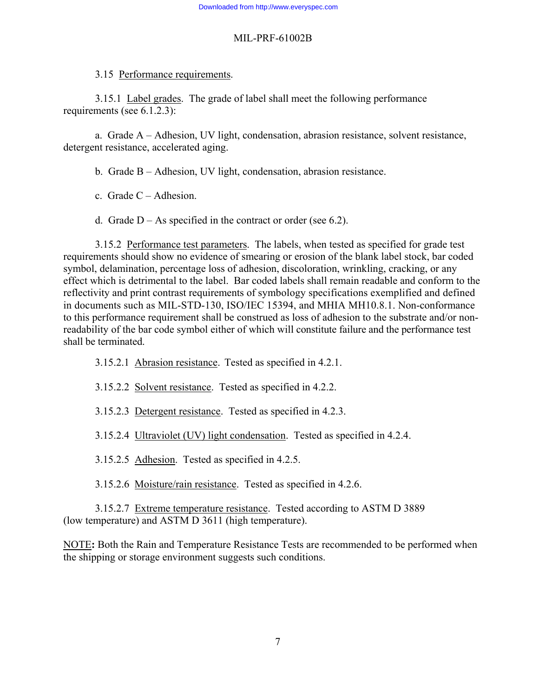#### 3.15 Performance requirements.

 3.15.1 Label grades. The grade of label shall meet the following performance requirements (see 6.1.2.3):

 a. Grade A – Adhesion, UV light, condensation, abrasion resistance, solvent resistance, detergent resistance, accelerated aging.

- b. Grade B Adhesion, UV light, condensation, abrasion resistance.
- c. Grade C Adhesion.
- d. Grade  $D As$  specified in the contract or order (see 6.2).

3.15.2 Performance test parameters. The labels, when tested as specified for grade test requirements should show no evidence of smearing or erosion of the blank label stock, bar coded symbol, delamination, percentage loss of adhesion, discoloration, wrinkling, cracking, or any effect which is detrimental to the label. Bar coded labels shall remain readable and conform to the reflectivity and print contrast requirements of symbology specifications exemplified and defined in documents such as MIL-STD-130, ISO/IEC 15394, and MHIA MH10.8.1. Non-conformance to this performance requirement shall be construed as loss of adhesion to the substrate and/or nonreadability of the bar code symbol either of which will constitute failure and the performance test shall be terminated.

- 3.15.2.1 Abrasion resistance. Tested as specified in 4.2.1.
- 3.15.2.2 Solvent resistance. Tested as specified in 4.2.2.
- 3.15.2.3 Detergent resistance. Tested as specified in 4.2.3.
- 3.15.2.4 Ultraviolet (UV) light condensation. Tested as specified in 4.2.4.
- 3.15.2.5 Adhesion. Tested as specified in 4.2.5.
- 3.15.2.6 Moisture/rain resistance. Tested as specified in 4.2.6.

 3.15.2.7 Extreme temperature resistance. Tested according to ASTM D 3889 (low temperature) and ASTM D 3611 (high temperature).

NOTE**:** Both the Rain and Temperature Resistance Tests are recommended to be performed when the shipping or storage environment suggests such conditions.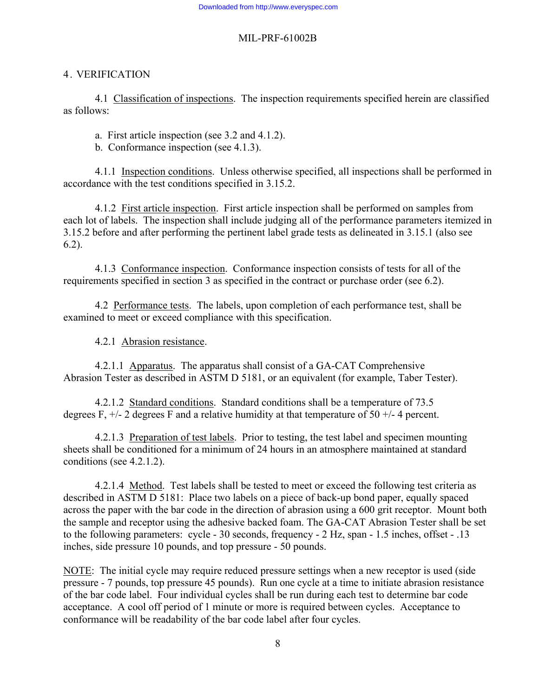### 4. VERIFICATION

 4.1 Classification of inspections. The inspection requirements specified herein are classified as follows:

a. First article inspection (see 3.2 and 4.1.2).

b. Conformance inspection (see 4.1.3).

 4.1.1 Inspection conditions. Unless otherwise specified, all inspections shall be performed in accordance with the test conditions specified in 3.15.2.

 4.1.2 First article inspection. First article inspection shall be performed on samples from each lot of labels. The inspection shall include judging all of the performance parameters itemized in 3.15.2 before and after performing the pertinent label grade tests as delineated in 3.15.1 (also see 6.2).

 4.1.3 Conformance inspection. Conformance inspection consists of tests for all of the requirements specified in section 3 as specified in the contract or purchase order (see 6.2).

 4.2 Performance tests. The labels, upon completion of each performance test, shall be examined to meet or exceed compliance with this specification.

4.2.1 Abrasion resistance.

 4.2.1.1 Apparatus. The apparatus shall consist of a GA-CAT Comprehensive Abrasion Tester as described in ASTM D 5181, or an equivalent (for example, Taber Tester).

 4.2.1.2 Standard conditions. Standard conditions shall be a temperature of 73.5 degrees F,  $+/- 2$  degrees F and a relative humidity at that temperature of 50  $+/- 4$  percent.

 4.2.1.3 Preparation of test labels. Prior to testing, the test label and specimen mounting sheets shall be conditioned for a minimum of 24 hours in an atmosphere maintained at standard conditions (see 4.2.1.2).

4.2.1.4 Method. Test labels shall be tested to meet or exceed the following test criteria as described in ASTM D 5181: Place two labels on a piece of back-up bond paper, equally spaced across the paper with the bar code in the direction of abrasion using a 600 grit receptor. Mount both the sample and receptor using the adhesive backed foam. The GA-CAT Abrasion Tester shall be set to the following parameters: cycle - 30 seconds, frequency - 2 Hz, span - 1.5 inches, offset - .13 inches, side pressure 10 pounds, and top pressure - 50 pounds.

NOTE: The initial cycle may require reduced pressure settings when a new receptor is used (side pressure - 7 pounds, top pressure 45 pounds). Run one cycle at a time to initiate abrasion resistance of the bar code label. Four individual cycles shall be run during each test to determine bar code acceptance. A cool off period of 1 minute or more is required between cycles. Acceptance to conformance will be readability of the bar code label after four cycles.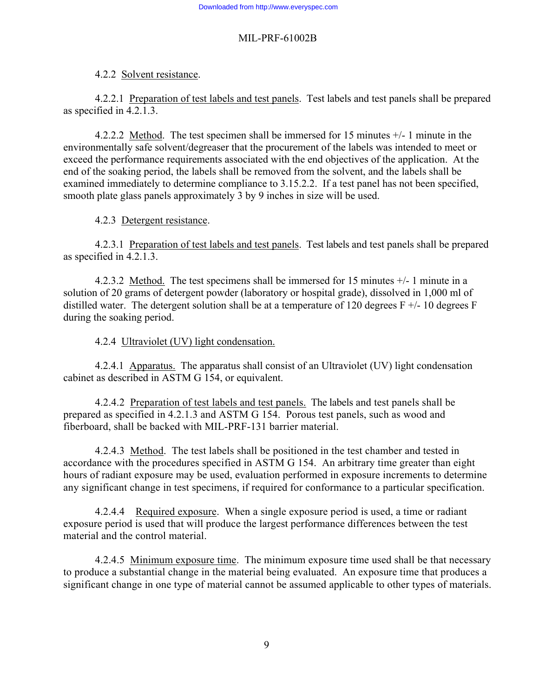4.2.2 Solvent resistance.

 4.2.2.1 Preparation of test labels and test panels. Test labels and test panels shall be prepared as specified in 4.2.1.3.

 4.2.2.2 Method. The test specimen shall be immersed for 15 minutes +/- 1 minute in the environmentally safe solvent/degreaser that the procurement of the labels was intended to meet or exceed the performance requirements associated with the end objectives of the application. At the end of the soaking period, the labels shall be removed from the solvent, and the labels shall be examined immediately to determine compliance to 3.15.2.2. If a test panel has not been specified, smooth plate glass panels approximately 3 by 9 inches in size will be used.

4.2.3 Detergent resistance.

 4.2.3.1 Preparation of test labels and test panels. Test labels and test panels shall be prepared as specified in 4.2.1.3.

4.2.3.2 Method. The test specimens shall be immersed for 15 minutes +/- 1 minute in a solution of 20 grams of detergent powder (laboratory or hospital grade), dissolved in 1,000 ml of distilled water. The detergent solution shall be at a temperature of 120 degrees  $F +/- 10$  degrees F during the soaking period.

4.2.4 Ultraviolet (UV) light condensation.

4.2.4.1 Apparatus. The apparatus shall consist of an Ultraviolet (UV) light condensation cabinet as described in ASTM G 154, or equivalent.

4.2.4.2 Preparation of test labels and test panels. The labels and test panels shall be prepared as specified in 4.2.1.3 and ASTM G 154. Porous test panels, such as wood and fiberboard, shall be backed with MIL-PRF-131 barrier material.

 4.2.4.3 Method. The test labels shall be positioned in the test chamber and tested in accordance with the procedures specified in ASTM G 154. An arbitrary time greater than eight hours of radiant exposure may be used, evaluation performed in exposure increments to determine any significant change in test specimens, if required for conformance to a particular specification.

 4.2.4.4 Required exposure. When a single exposure period is used, a time or radiant exposure period is used that will produce the largest performance differences between the test material and the control material.

 4.2.4.5 Minimum exposure time. The minimum exposure time used shall be that necessary to produce a substantial change in the material being evaluated. An exposure time that produces a significant change in one type of material cannot be assumed applicable to other types of materials.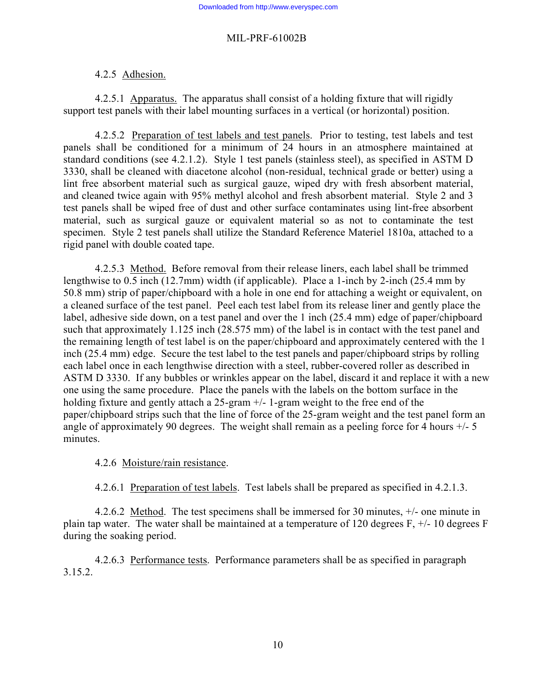#### 4.2.5 Adhesion.

 4.2.5.1 Apparatus. The apparatus shall consist of a holding fixture that will rigidly support test panels with their label mounting surfaces in a vertical (or horizontal) position.

4.2.5.2 Preparation of test labels and test panels. Prior to testing, test labels and test panels shall be conditioned for a minimum of 24 hours in an atmosphere maintained at standard conditions (see 4.2.1.2). Style 1 test panels (stainless steel), as specified in ASTM D 3330, shall be cleaned with diacetone alcohol (non-residual, technical grade or better) using a lint free absorbent material such as surgical gauze, wiped dry with fresh absorbent material, and cleaned twice again with 95% methyl alcohol and fresh absorbent material. Style 2 and 3 test panels shall be wiped free of dust and other surface contaminates using lint-free absorbent material, such as surgical gauze or equivalent material so as not to contaminate the test specimen. Style 2 test panels shall utilize the Standard Reference Materiel 1810a, attached to a rigid panel with double coated tape.

4.2.5.3 Method. Before removal from their release liners, each label shall be trimmed lengthwise to 0.5 inch (12.7mm) width (if applicable). Place a 1-inch by 2-inch (25.4 mm by 50.8 mm) strip of paper/chipboard with a hole in one end for attaching a weight or equivalent, on a cleaned surface of the test panel. Peel each test label from its release liner and gently place the label, adhesive side down, on a test panel and over the 1 inch (25.4 mm) edge of paper/chipboard such that approximately 1.125 inch (28.575 mm) of the label is in contact with the test panel and the remaining length of test label is on the paper/chipboard and approximately centered with the 1 inch (25.4 mm) edge. Secure the test label to the test panels and paper/chipboard strips by rolling each label once in each lengthwise direction with a steel, rubber-covered roller as described in ASTM D 3330. If any bubbles or wrinkles appear on the label, discard it and replace it with a new one using the same procedure. Place the panels with the labels on the bottom surface in the holding fixture and gently attach a 25-gram  $+/- 1$ -gram weight to the free end of the paper/chipboard strips such that the line of force of the 25-gram weight and the test panel form an angle of approximately 90 degrees. The weight shall remain as a peeling force for 4 hours  $+/-$  5 minutes.

4.2.6 Moisture/rain resistance.

4.2.6.1 Preparation of test labels. Test labels shall be prepared as specified in 4.2.1.3.

 4.2.6.2 Method. The test specimens shall be immersed for 30 minutes, +/- one minute in plain tap water. The water shall be maintained at a temperature of 120 degrees F, +/- 10 degrees F during the soaking period.

 4.2.6.3 Performance tests. Performance parameters shall be as specified in paragraph 3.15.2.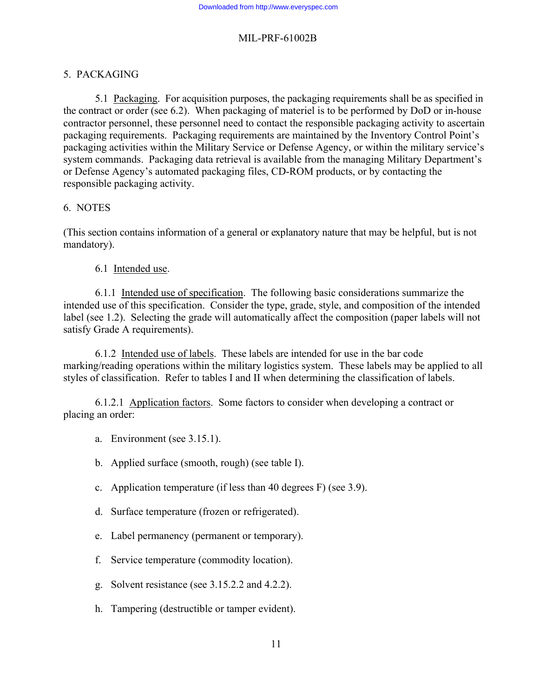### 5. PACKAGING

 5.1 Packaging. For acquisition purposes, the packaging requirements shall be as specified in the contract or order (see 6.2). When packaging of materiel is to be performed by DoD or in-house contractor personnel, these personnel need to contact the responsible packaging activity to ascertain packaging requirements. Packaging requirements are maintained by the Inventory Control Point's packaging activities within the Military Service or Defense Agency, or within the military service's system commands. Packaging data retrieval is available from the managing Military Department's or Defense Agency's automated packaging files, CD-ROM products, or by contacting the responsible packaging activity.

#### 6. NOTES

(This section contains information of a general or explanatory nature that may be helpful, but is not mandatory).

#### 6.1 Intended use.

 6.1.1 Intended use of specification. The following basic considerations summarize the intended use of this specification. Consider the type, grade, style, and composition of the intended label (see 1.2). Selecting the grade will automatically affect the composition (paper labels will not satisfy Grade A requirements).

 6.1.2 Intended use of labels. These labels are intended for use in the bar code marking/reading operations within the military logistics system. These labels may be applied to all styles of classification. Refer to tables I and II when determining the classification of labels.

 6.1.2.1 Application factors. Some factors to consider when developing a contract or placing an order:

- a. Environment (see 3.15.1).
- b. Applied surface (smooth, rough) (see table I).
- c. Application temperature (if less than 40 degrees F) (see 3.9).
- d. Surface temperature (frozen or refrigerated).
- e. Label permanency (permanent or temporary).
- f. Service temperature (commodity location).
- g. Solvent resistance (see 3.15.2.2 and 4.2.2).
- h. Tampering (destructible or tamper evident).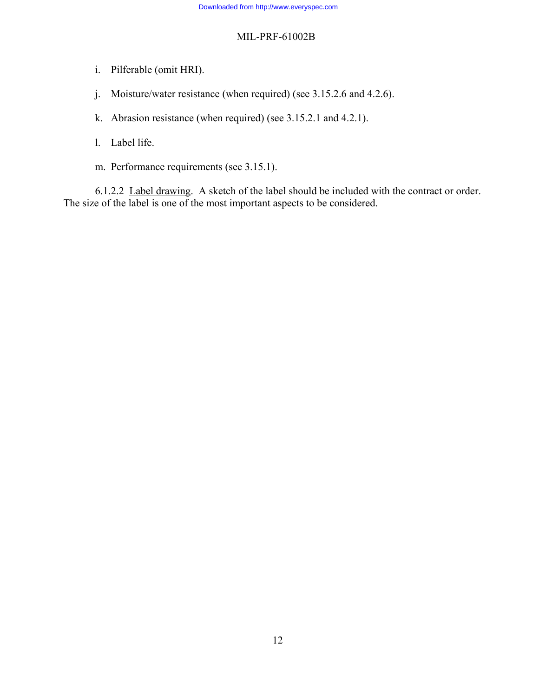- i. Pilferable (omit HRI).
- j. Moisture/water resistance (when required) (see 3.15.2.6 and 4.2.6).
- k. Abrasion resistance (when required) (see 3.15.2.1 and 4.2.1).
- l. Label life.
- m. Performance requirements (see 3.15.1).

 6.1.2.2 Label drawing. A sketch of the label should be included with the contract or order. The size of the label is one of the most important aspects to be considered.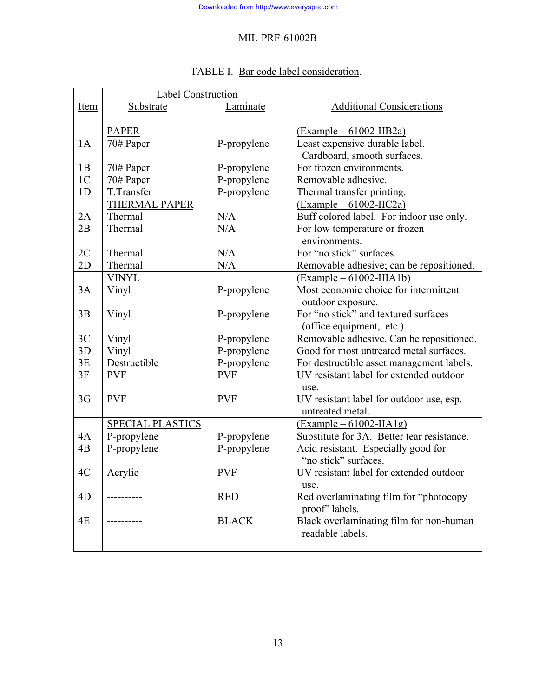|                | Label Construction   |              |                                            |
|----------------|----------------------|--------------|--------------------------------------------|
| Item           | Substrate            | Laminate     | <b>Additional Considerations</b>           |
|                |                      |              |                                            |
|                | <b>PAPER</b>         |              | $(Example - 61002 - IIB2a)$                |
| 1A             | 70# Paper            | P-propylene  | Least expensive durable label.             |
|                |                      |              | Cardboard, smooth surfaces.                |
| 1B             | 70# Paper            | P-propylene  | For frozen environments.                   |
| 1 <sup>C</sup> | 70# Paper            | P-propylene  | Removable adhesive.                        |
| 1 <sub>D</sub> | T.Transfer           | P-propylene  | Thermal transfer printing.                 |
|                | <b>THERMAL PAPER</b> |              | $(Example - 61002 - IIC2a)$                |
| 2A             | Thermal              | N/A          | Buff colored label. For indoor use only.   |
| 2B             | Thermal              | N/A          | For low temperature or frozen              |
|                |                      |              | environments.                              |
| 2C             | Thermal              | N/A          | For "no stick" surfaces.                   |
| 2D             | Thermal              | N/A          | Removable adhesive; can be repositioned.   |
|                | <b>VINYL</b>         |              | $(Example - 61002 - IIIA1b)$               |
| 3A             | Vinyl                | P-propylene  | Most economic choice for intermittent      |
|                |                      |              | outdoor exposure.                          |
| 3B             | Vinyl                | P-propylene  | For "no stick" and textured surfaces       |
|                |                      |              | (office equipment, etc.).                  |
| 3C             | Vinyl                | P-propylene  | Removable adhesive. Can be repositioned.   |
| 3D             | Vinyl                | P-propylene  | Good for most untreated metal surfaces.    |
| 3E             | Destructible         | P-propylene  | For destructible asset management labels.  |
| 3F             | <b>PVF</b>           | <b>PVF</b>   | UV resistant label for extended outdoor    |
|                |                      |              | use.                                       |
| 3G             | <b>PVF</b>           | <b>PVF</b>   | UV resistant label for outdoor use, esp.   |
|                |                      |              | untreated metal.                           |
|                | SPECIAL PLASTICS     |              | $(Example - 61002-IIA1g)$                  |
| 4A             | P-propylene          | P-propylene  | Substitute for 3A. Better tear resistance. |
| 4B             | P-propylene          | P-propylene  | Acid resistant. Especially good for        |
|                |                      |              | "no stick" surfaces.                       |
| 4C             | Acrylic              | <b>PVF</b>   | UV resistant label for extended outdoor    |
|                |                      |              | use.                                       |
| 4D             |                      | <b>RED</b>   | Red overlaminating film for "photocopy     |
|                |                      |              | proof" labels.                             |
| 4E             |                      | <b>BLACK</b> | Black overlaminating film for non-human    |
|                |                      |              | readable labels.                           |
|                |                      |              |                                            |

# TABLE I. Bar code label consideration.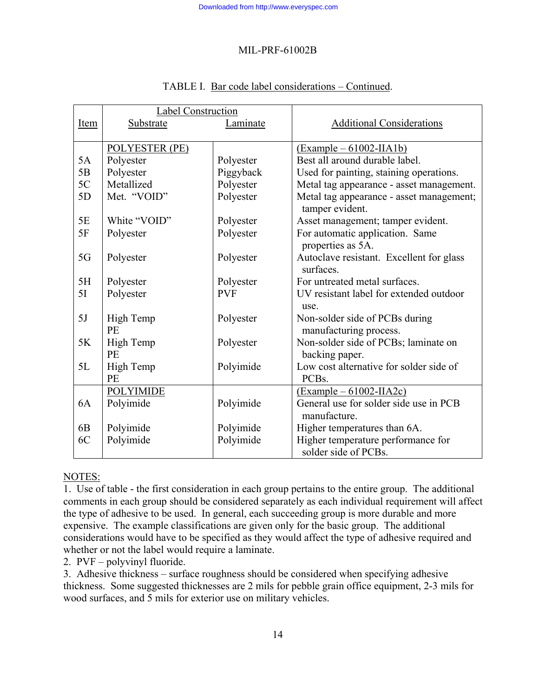|                | <b>Label Construction</b> |            |                                                             |  |
|----------------|---------------------------|------------|-------------------------------------------------------------|--|
| Item           | Substrate                 | Laminate   | <b>Additional Considerations</b>                            |  |
|                |                           |            |                                                             |  |
|                | POLYESTER (PE)            |            | $(\text{Example} - 61002-IIA1b)$                            |  |
| 5A             | Polyester                 | Polyester  | Best all around durable label.                              |  |
| 5B             | Polyester                 | Piggyback  | Used for painting, staining operations.                     |  |
| 5C             | Metallized                | Polyester  | Metal tag appearance - asset management.                    |  |
| 5D             | Met. "VOID"               | Polyester  | Metal tag appearance - asset management;<br>tamper evident. |  |
| 5E             | White "VOID"              | Polyester  | Asset management; tamper evident.                           |  |
| 5F             | Polyester                 | Polyester  | For automatic application. Same<br>properties as 5A.        |  |
| 5G             | Polyester                 | Polyester  | Autoclave resistant. Excellent for glass<br>surfaces.       |  |
| 5H             | Polyester                 | Polyester  | For untreated metal surfaces.                               |  |
| 5I             | Polyester                 | <b>PVF</b> | UV resistant label for extended outdoor                     |  |
|                |                           |            | use.                                                        |  |
| 5J             | High Temp<br>PE           | Polyester  | Non-solder side of PCBs during<br>manufacturing process.    |  |
| 5K             | High Temp                 | Polyester  | Non-solder side of PCBs; laminate on                        |  |
|                | PE                        |            | backing paper.                                              |  |
| 5L             | High Temp                 | Polyimide  | Low cost alternative for solder side of                     |  |
|                | PE                        |            | PCB <sub>s</sub> .                                          |  |
|                | <b>POLYIMIDE</b>          |            | $(Example - 61002-IIA2c)$                                   |  |
| 6A             | Polyimide                 | Polyimide  | General use for solder side use in PCB                      |  |
|                |                           |            | manufacture.                                                |  |
| 6 <sub>B</sub> | Polyimide                 | Polyimide  | Higher temperatures than 6A.                                |  |
| 6C             | Polyimide                 | Polyimide  | Higher temperature performance for                          |  |
|                |                           |            | solder side of PCBs.                                        |  |

#### TABLE I. Bar code label considerations – Continued.

#### NOTES:

1. Use of table - the first consideration in each group pertains to the entire group. The additional comments in each group should be considered separately as each individual requirement will affect the type of adhesive to be used. In general, each succeeding group is more durable and more expensive. The example classifications are given only for the basic group. The additional considerations would have to be specified as they would affect the type of adhesive required and whether or not the label would require a laminate.

2. PVF – polyvinyl fluoride.

3. Adhesive thickness – surface roughness should be considered when specifying adhesive thickness. Some suggested thicknesses are 2 mils for pebble grain office equipment, 2-3 mils for wood surfaces, and 5 mils for exterior use on military vehicles.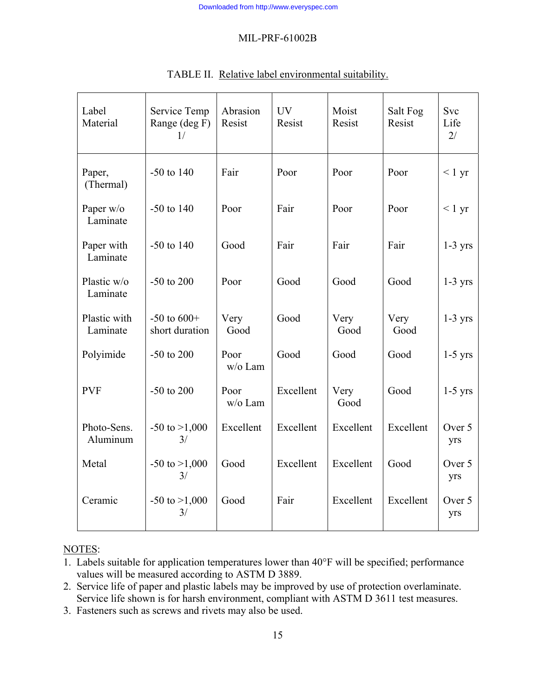| Label<br>Material        | Service Temp<br>Range (deg F)<br>1/ | Abrasion<br>Resist | <b>UV</b><br>Resist | Moist<br>Resist | Salt Fog<br>Resist | Svc<br>Life<br>2/ |
|--------------------------|-------------------------------------|--------------------|---------------------|-----------------|--------------------|-------------------|
| Paper,<br>(Thermal)      | $-50$ to $140$                      | Fair               | Poor                | Poor            | Poor               | < 1 yr            |
| Paper w/o<br>Laminate    | $-50$ to $140$                      | Poor               | Fair                | Poor            | Poor               | $< 1 \text{ yr}$  |
| Paper with<br>Laminate   | $-50$ to $140$                      | Good               | Fair                | Fair            | Fair               | $1-3$ yrs         |
| Plastic w/o<br>Laminate  | $-50$ to $200$                      | Poor               | Good                | Good            | Good               | $1-3$ yrs         |
| Plastic with<br>Laminate | $-50$ to $600+$<br>short duration   | Very<br>Good       | Good                | Very<br>Good    | Very<br>Good       | $1-3$ yrs         |
| Polyimide                | $-50$ to $200$                      | Poor<br>w/o Lam    | Good                | Good            | Good               | $1-5$ yrs         |
| <b>PVF</b>               | $-50$ to $200$                      | Poor<br>w/o Lam    | Excellent           | Very<br>Good    | Good               | $1-5$ yrs         |
| Photo-Sens.<br>Aluminum  | $-50$ to $>1,000$<br>3/             | Excellent          | Excellent           | Excellent       | Excellent          | Over 5<br>yrs     |
| Metal                    | $-50$ to $>1,000$<br>3/             | Good               | Excellent           | Excellent       | Good               | Over 5<br>yrs     |
| Ceramic                  | $-50$ to $>1,000$<br>3/             | Good               | Fair                | Excellent       | Excellent          | Over 5<br>yrs     |

# TABLE II. Relative label environmental suitability.

# NOTES:

- 1. Labels suitable for application temperatures lower than  $40^{\circ}$ F will be specified; performance values will be measured according to ASTM D 3889.
- 2. Service life of paper and plastic labels may be improved by use of protection overlaminate. Service life shown is for harsh environment, compliant with ASTM D 3611 test measures.
- 3. Fasteners such as screws and rivets may also be used.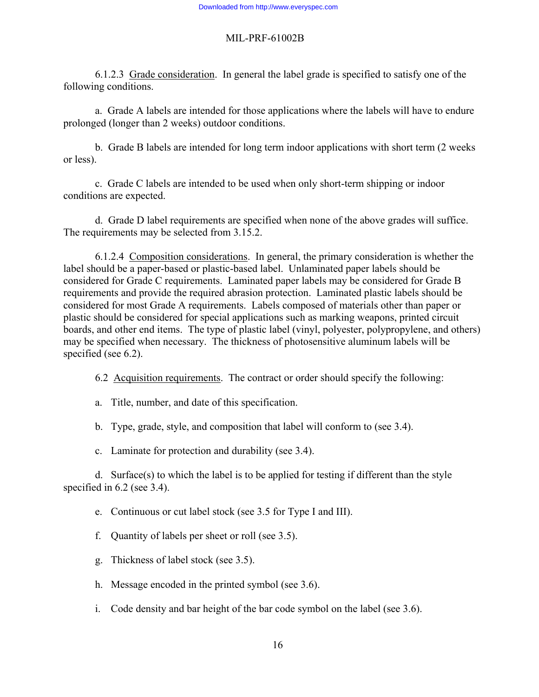6.1.2.3 Grade consideration. In general the label grade is specified to satisfy one of the following conditions.

 a. Grade A labels are intended for those applications where the labels will have to endure prolonged (longer than 2 weeks) outdoor conditions.

 b. Grade B labels are intended for long term indoor applications with short term (2 weeks or less).

 c. Grade C labels are intended to be used when only short-term shipping or indoor conditions are expected.

 d. Grade D label requirements are specified when none of the above grades will suffice. The requirements may be selected from 3.15.2.

 6.1.2.4 Composition considerations. In general, the primary consideration is whether the label should be a paper-based or plastic-based label. Unlaminated paper labels should be considered for Grade C requirements. Laminated paper labels may be considered for Grade B requirements and provide the required abrasion protection. Laminated plastic labels should be considered for most Grade A requirements. Labels composed of materials other than paper or plastic should be considered for special applications such as marking weapons, printed circuit boards, and other end items. The type of plastic label (vinyl, polyester, polypropylene, and others) may be specified when necessary. The thickness of photosensitive aluminum labels will be specified (see 6.2).

6.2 Acquisition requirements. The contract or order should specify the following:

a. Title, number, and date of this specification.

b. Type, grade, style, and composition that label will conform to (see 3.4).

c. Laminate for protection and durability (see 3.4).

 d. Surface(s) to which the label is to be applied for testing if different than the style specified in 6.2 (see 3.4).

e. Continuous or cut label stock (see 3.5 for Type I and III).

- f. Quantity of labels per sheet or roll (see 3.5).
- g. Thickness of label stock (see 3.5).
- h. Message encoded in the printed symbol (see 3.6).
- i. Code density and bar height of the bar code symbol on the label (see 3.6).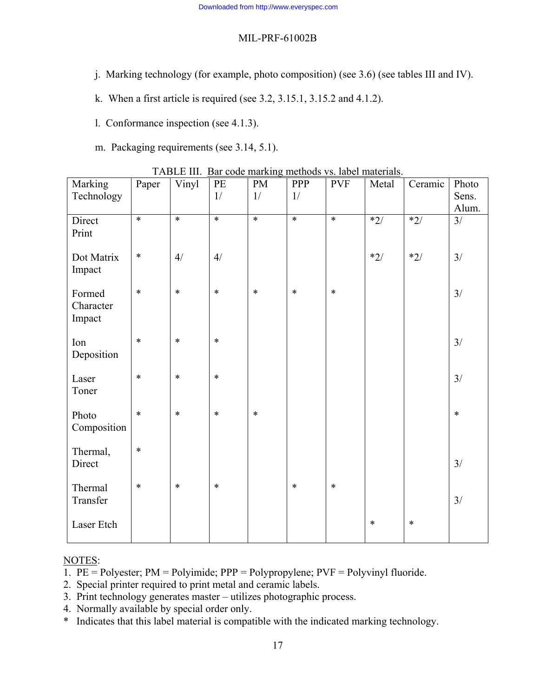- j. Marking technology (for example, photo composition) (see 3.6) (see tables III and IV).
- k. When a first article is required (see 3.2, 3.15.1, 3.15.2 and 4.1.2).
- l. Conformance inspection (see 4.1.3).
- m. Packaging requirements (see 3.14, 5.1).

| Marking                       | Paper  | Vinyl  | $\ensuremath{\mathop{\text{\rm PE}}}$ | <b>PM</b> | PPP    | <b>PVF</b> | Metal  | Ceramic | Photo           |
|-------------------------------|--------|--------|---------------------------------------|-----------|--------|------------|--------|---------|-----------------|
| Technology                    |        |        | 1/                                    | 1/        | 1/     |            |        |         | Sens.           |
|                               | $\ast$ | $\ast$ | $\ast$                                | $*$       | $*$    | $*$        |        |         | Alum.           |
| Direct<br>Print               |        |        |                                       |           |        |            | $*2/$  | $*2/$   | $\overline{3/}$ |
| Dot Matrix<br>Impact          | $\ast$ | 4/     | 4/                                    |           |        |            | $*2/$  | $*2/$   | 3/              |
| Formed<br>Character<br>Impact | $\ast$ | $\ast$ | $\ast$                                | $\ast$    | $\ast$ | $\ast$     |        |         | 3/              |
| Ion<br>Deposition             | $\ast$ | $\ast$ | $\ast$                                |           |        |            |        |         | 3/              |
| Laser<br>Toner                | $\ast$ | $\ast$ | $\ast$                                |           |        |            |        |         | 3/              |
| Photo<br>Composition          | $\ast$ | $\ast$ | $\ast$                                | $\ast$    |        |            |        |         | $\ast$          |
| Thermal,<br>Direct            | $\ast$ |        |                                       |           |        |            |        |         | 3/              |
| Thermal<br>Transfer           | $\ast$ | $\ast$ | $\ast$                                |           | $\ast$ | $\ast$     |        |         | 3/              |
| Laser Etch                    |        |        |                                       |           |        |            | $\ast$ | $\ast$  |                 |

TABLE III. Bar code marking methods vs. label materials.

#### NOTES:

- 1. PE = Polyester; PM = Polyimide; PPP = Polypropylene; PVF = Polyvinyl fluoride.
- 2. Special printer required to print metal and ceramic labels.
- 3. Print technology generates master utilizes photographic process.
- 4. Normally available by special order only.
- \* Indicates that this label material is compatible with the indicated marking technology.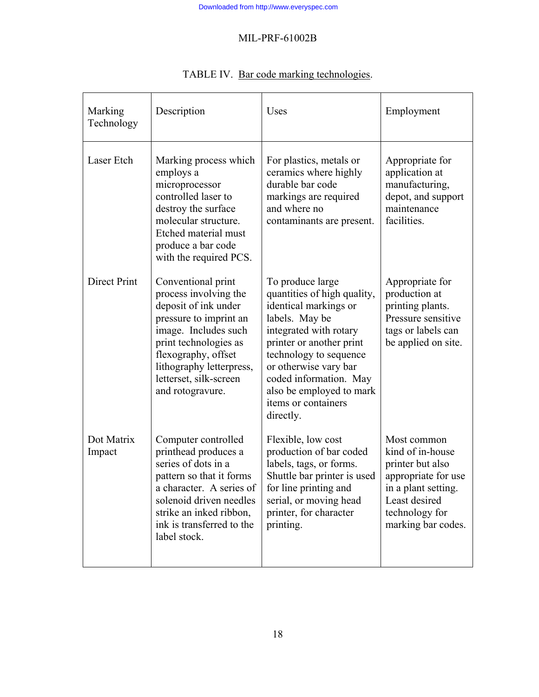| Marking<br>Technology | Description                                                                                                                                                                                                                                     | Uses                                                                                                                                                                                                                                                                                          | Employment                                                                                                                                                 |
|-----------------------|-------------------------------------------------------------------------------------------------------------------------------------------------------------------------------------------------------------------------------------------------|-----------------------------------------------------------------------------------------------------------------------------------------------------------------------------------------------------------------------------------------------------------------------------------------------|------------------------------------------------------------------------------------------------------------------------------------------------------------|
| Laser Etch            | Marking process which<br>employs a<br>microprocessor<br>controlled laser to<br>destroy the surface<br>molecular structure.<br>Etched material must<br>produce a bar code<br>with the required PCS.                                              | For plastics, metals or<br>ceramics where highly<br>durable bar code<br>markings are required<br>and where no<br>contaminants are present.                                                                                                                                                    | Appropriate for<br>application at<br>manufacturing,<br>depot, and support<br>maintenance<br>facilities.                                                    |
| <b>Direct Print</b>   | Conventional print<br>process involving the<br>deposit of ink under<br>pressure to imprint an<br>image. Includes such<br>print technologies as<br>flexography, offset<br>lithography letterpress,<br>letterset, silk-screen<br>and rotogravure. | To produce large<br>quantities of high quality,<br>identical markings or<br>labels. May be<br>integrated with rotary<br>printer or another print<br>technology to sequence<br>or otherwise vary bar<br>coded information. May<br>also be employed to mark<br>items or containers<br>directly. | Appropriate for<br>production at<br>printing plants.<br>Pressure sensitive<br>tags or labels can<br>be applied on site.                                    |
| Dot Matrix<br>Impact  | Computer controlled<br>printhead produces a<br>series of dots in a<br>pattern so that it forms<br>a character. A series of<br>solenoid driven needles<br>strike an inked ribbon,<br>ink is transferred to the<br>label stock.                   | Flexible, low cost<br>production of bar coded<br>labels, tags, or forms.<br>Shuttle bar printer is used<br>for line printing and<br>serial, or moving head<br>printer, for character<br>printing.                                                                                             | Most common<br>kind of in-house<br>printer but also<br>appropriate for use<br>in a plant setting.<br>Least desired<br>technology for<br>marking bar codes. |

# TABLE IV. Bar code marking technologies.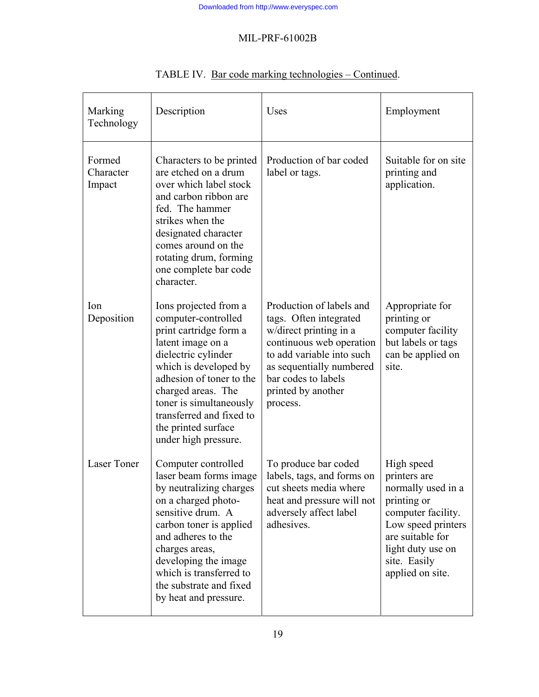| Marking<br>Technology         | Description                                                                                                                                                                                                                                                                                         | Uses                                                                                                                                                                                                                       | Employment                                                                                                                                                                               |
|-------------------------------|-----------------------------------------------------------------------------------------------------------------------------------------------------------------------------------------------------------------------------------------------------------------------------------------------------|----------------------------------------------------------------------------------------------------------------------------------------------------------------------------------------------------------------------------|------------------------------------------------------------------------------------------------------------------------------------------------------------------------------------------|
| Formed<br>Character<br>Impact | Characters to be printed<br>are etched on a drum<br>over which label stock<br>and carbon ribbon are<br>fed. The hammer<br>strikes when the<br>designated character<br>comes around on the<br>rotating drum, forming<br>one complete bar code<br>character.                                          | Production of bar coded<br>label or tags.                                                                                                                                                                                  | Suitable for on site<br>printing and<br>application.                                                                                                                                     |
| Ion<br>Deposition             | Ions projected from a<br>computer-controlled<br>print cartridge form a<br>latent image on a<br>dielectric cylinder<br>which is developed by<br>adhesion of toner to the<br>charged areas. The<br>toner is simultaneously<br>transferred and fixed to<br>the printed surface<br>under high pressure. | Production of labels and<br>tags. Often integrated<br>w/direct printing in a<br>continuous web operation<br>to add variable into such<br>as sequentially numbered<br>bar codes to labels<br>printed by another<br>process. | Appropriate for<br>printing or<br>computer facility<br>but labels or tags<br>can be applied on<br>site.                                                                                  |
| <b>Laser Toner</b>            | Computer controlled<br>laser beam forms image<br>by neutralizing charges<br>on a charged photo-<br>sensitive drum. A<br>carbon toner is applied<br>and adheres to the<br>charges areas,<br>developing the image<br>which is transferred to<br>the substrate and fixed<br>by heat and pressure.      | To produce bar coded<br>labels, tags, and forms on<br>cut sheets media where<br>heat and pressure will not<br>adversely affect label<br>adhesives.                                                                         | High speed<br>printers are<br>normally used in a<br>printing or<br>computer facility.<br>Low speed printers<br>are suitable for<br>light duty use on<br>site. Easily<br>applied on site. |

# TABLE IV. Bar code marking technologies – Continued.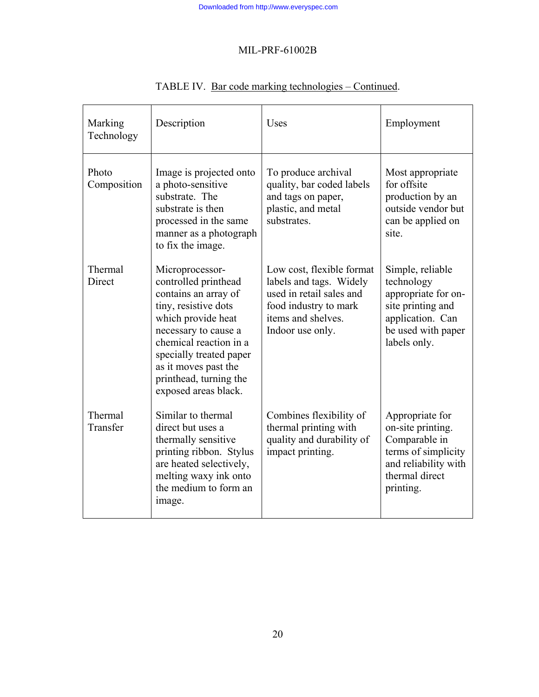| Marking<br>Technology | Description                                                                                                                                                                                                                                                          | <b>Uses</b>                                                                                                                                         | Employment                                                                                                                           |
|-----------------------|----------------------------------------------------------------------------------------------------------------------------------------------------------------------------------------------------------------------------------------------------------------------|-----------------------------------------------------------------------------------------------------------------------------------------------------|--------------------------------------------------------------------------------------------------------------------------------------|
| Photo<br>Composition  | Image is projected onto<br>a photo-sensitive<br>substrate. The<br>substrate is then<br>processed in the same<br>manner as a photograph<br>to fix the image.                                                                                                          | To produce archival<br>quality, bar coded labels<br>and tags on paper,<br>plastic, and metal<br>substrates.                                         | Most appropriate<br>for offsite<br>production by an<br>outside vendor but<br>can be applied on<br>site.                              |
| Thermal<br>Direct     | Microprocessor-<br>controlled printhead<br>contains an array of<br>tiny, resistive dots<br>which provide heat<br>necessary to cause a<br>chemical reaction in a<br>specially treated paper<br>as it moves past the<br>printhead, turning the<br>exposed areas black. | Low cost, flexible format<br>labels and tags. Widely<br>used in retail sales and<br>food industry to mark<br>items and shelves.<br>Indoor use only. | Simple, reliable<br>technology<br>appropriate for on-<br>site printing and<br>application. Can<br>be used with paper<br>labels only. |
| Thermal<br>Transfer   | Similar to thermal<br>direct but uses a<br>thermally sensitive<br>printing ribbon. Stylus<br>are heated selectively,<br>melting waxy ink onto<br>the medium to form an<br>image.                                                                                     | Combines flexibility of<br>thermal printing with<br>quality and durability of<br>impact printing.                                                   | Appropriate for<br>on-site printing.<br>Comparable in<br>terms of simplicity<br>and reliability with<br>thermal direct<br>printing.  |

# TABLE IV. Bar code marking technologies – Continued.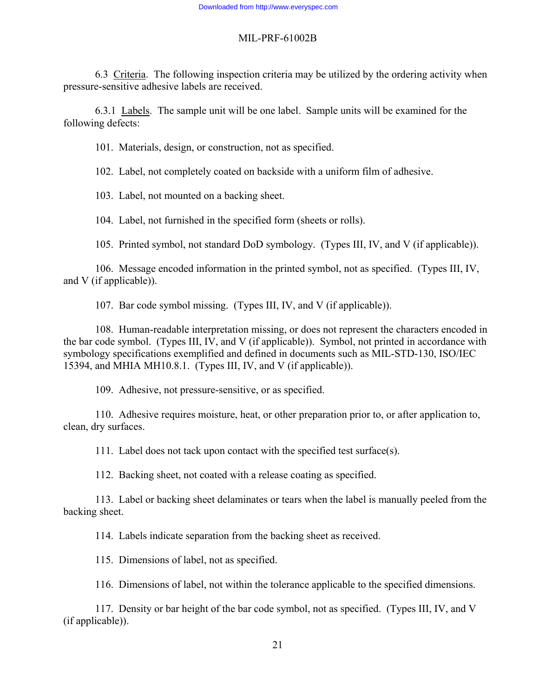6.3 Criteria. The following inspection criteria may be utilized by the ordering activity when pressure-sensitive adhesive labels are received.

 6.3.1 Labels. The sample unit will be one label. Sample units will be examined for the following defects:

101. Materials, design, or construction, not as specified.

102. Label, not completely coated on backside with a uniform film of adhesive.

103. Label, not mounted on a backing sheet.

104. Label, not furnished in the specified form (sheets or rolls).

105. Printed symbol, not standard DoD symbology. (Types III, IV, and V (if applicable)).

 106. Message encoded information in the printed symbol, not as specified. (Types III, IV, and V (if applicable)).

107. Bar code symbol missing. (Types III, IV, and V (if applicable)).

 108. Human-readable interpretation missing, or does not represent the characters encoded in the bar code symbol. (Types III, IV, and V (if applicable)). Symbol, not printed in accordance with symbology specifications exemplified and defined in documents such as MIL-STD-130, ISO/IEC 15394, and MHIA MH10.8.1. (Types III, IV, and V (if applicable)).

109. Adhesive, not pressure-sensitive, or as specified.

 110. Adhesive requires moisture, heat, or other preparation prior to, or after application to, clean, dry surfaces.

111. Label does not tack upon contact with the specified test surface(s).

112. Backing sheet, not coated with a release coating as specified.

 113. Label or backing sheet delaminates or tears when the label is manually peeled from the backing sheet.

114. Labels indicate separation from the backing sheet as received.

115. Dimensions of label, not as specified.

116. Dimensions of label, not within the tolerance applicable to the specified dimensions.

 117. Density or bar height of the bar code symbol, not as specified. (Types III, IV, and V (if applicable)).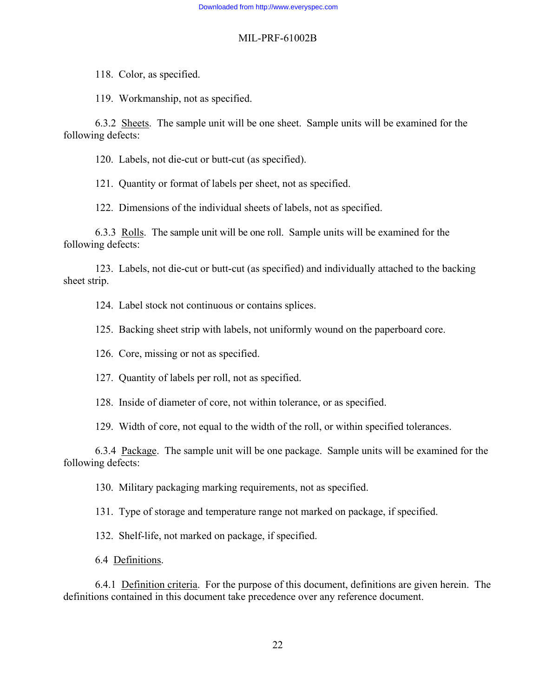118. Color, as specified.

119. Workmanship, not as specified.

 6.3.2 Sheets. The sample unit will be one sheet. Sample units will be examined for the following defects:

120. Labels, not die-cut or butt-cut (as specified).

121. Quantity or format of labels per sheet, not as specified.

122. Dimensions of the individual sheets of labels, not as specified.

 6.3.3 Rolls. The sample unit will be one roll. Sample units will be examined for the following defects:

 123. Labels, not die-cut or butt-cut (as specified) and individually attached to the backing sheet strip.

124. Label stock not continuous or contains splices.

125. Backing sheet strip with labels, not uniformly wound on the paperboard core.

126. Core, missing or not as specified.

127. Quantity of labels per roll, not as specified.

128. Inside of diameter of core, not within tolerance, or as specified.

129. Width of core, not equal to the width of the roll, or within specified tolerances.

 6.3.4 Package. The sample unit will be one package. Sample units will be examined for the following defects:

130. Military packaging marking requirements, not as specified.

131. Type of storage and temperature range not marked on package, if specified.

132. Shelf-life, not marked on package, if specified.

6.4 Definitions.

 6.4.1 Definition criteria. For the purpose of this document, definitions are given herein. The definitions contained in this document take precedence over any reference document.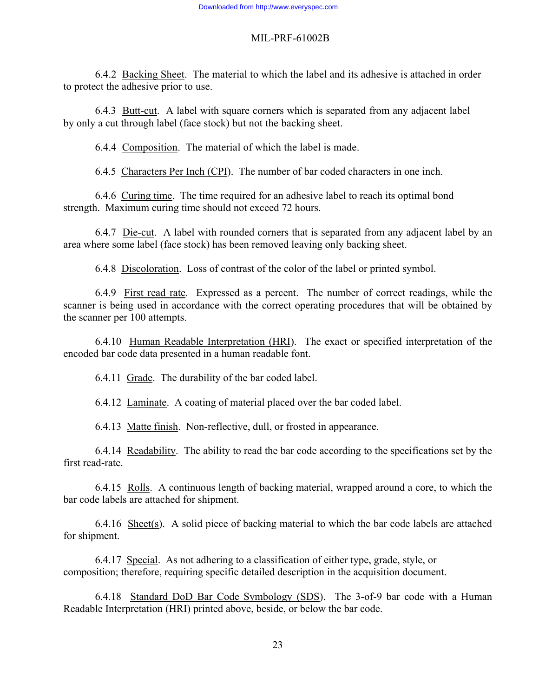6.4.2 Backing Sheet. The material to which the label and its adhesive is attached in order to protect the adhesive prior to use.

 6.4.3 Butt-cut. A label with square corners which is separated from any adjacent label by only a cut through label (face stock) but not the backing sheet.

6.4.4 Composition. The material of which the label is made.

6.4.5 Characters Per Inch (CPI). The number of bar coded characters in one inch.

 6.4.6 Curing time. The time required for an adhesive label to reach its optimal bond strength. Maximum curing time should not exceed 72 hours.

 6.4.7 Die-cut. A label with rounded corners that is separated from any adjacent label by an area where some label (face stock) has been removed leaving only backing sheet.

6.4.8 Discoloration. Loss of contrast of the color of the label or printed symbol.

 6.4.9 First read rate. Expressed as a percent. The number of correct readings, while the scanner is being used in accordance with the correct operating procedures that will be obtained by the scanner per 100 attempts.

 6.4.10 Human Readable Interpretation (HRI). The exact or specified interpretation of the encoded bar code data presented in a human readable font.

6.4.11 Grade. The durability of the bar coded label.

6.4.12 Laminate. A coating of material placed over the bar coded label.

6.4.13 Matte finish. Non-reflective, dull, or frosted in appearance.

 6.4.14 Readability. The ability to read the bar code according to the specifications set by the first read-rate.

 6.4.15 Rolls. A continuous length of backing material, wrapped around a core, to which the bar code labels are attached for shipment.

 6.4.16 Sheet(s). A solid piece of backing material to which the bar code labels are attached for shipment.

 6.4.17 Special. As not adhering to a classification of either type, grade, style, or composition; therefore, requiring specific detailed description in the acquisition document.

 6.4.18 Standard DoD Bar Code Symbology (SDS). The 3-of-9 bar code with a Human Readable Interpretation (HRI) printed above, beside, or below the bar code.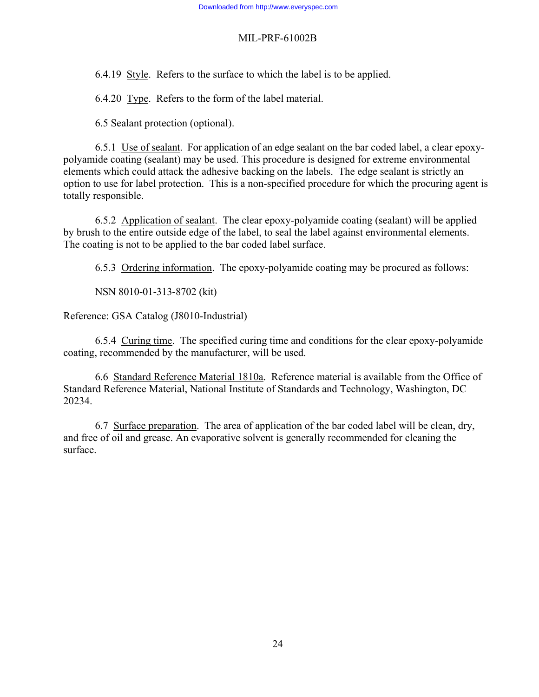6.4.19 Style. Refers to the surface to which the label is to be applied.

6.4.20 Type. Refers to the form of the label material.

6.5 Sealant protection (optional).

 6.5.1 Use of sealant. For application of an edge sealant on the bar coded label, a clear epoxypolyamide coating (sealant) may be used. This procedure is designed for extreme environmental elements which could attack the adhesive backing on the labels. The edge sealant is strictly an option to use for label protection. This is a non-specified procedure for which the procuring agent is totally responsible.

 6.5.2 Application of sealant. The clear epoxy-polyamide coating (sealant) will be applied by brush to the entire outside edge of the label, to seal the label against environmental elements. The coating is not to be applied to the bar coded label surface.

6.5.3 Ordering information. The epoxy-polyamide coating may be procured as follows:

NSN 8010-01-313-8702 (kit)

Reference: GSA Catalog (J8010-Industrial)

 6.5.4 Curing time. The specified curing time and conditions for the clear epoxy-polyamide coating, recommended by the manufacturer, will be used.

 6.6 Standard Reference Material 1810a. Reference material is available from the Office of Standard Reference Material, National Institute of Standards and Technology, Washington, DC 20234.

 6.7 Surface preparation. The area of application of the bar coded label will be clean, dry, and free of oil and grease. An evaporative solvent is generally recommended for cleaning the surface.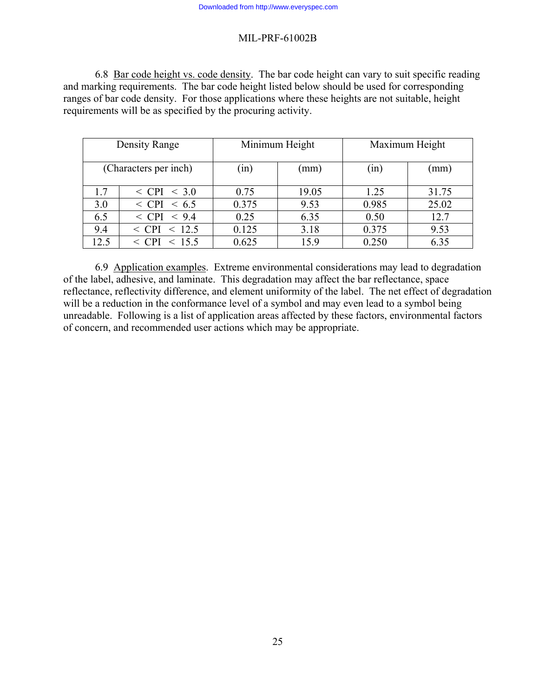6.8 Bar code height vs. code density. The bar code height can vary to suit specific reading and marking requirements. The bar code height listed below should be used for corresponding ranges of bar code density. For those applications where these heights are not suitable, height requirements will be as specified by the procuring activity.

| Density Range         |                                  | Minimum Height |       | Maximum Height |       |
|-----------------------|----------------------------------|----------------|-------|----------------|-------|
| (Characters per inch) |                                  | (1n)           | (mm)  | (in)           | (mm)  |
| 1.7                   | $~<$ CPI $~<$ 3.0                | 0.75           | 19.05 | 1.25           | 31.75 |
| 3.0                   | $~<$ CPI $~<$ 6.5                | 0.375          | 9.53  | 0.985          | 25.02 |
| 6.5                   | $\langle CPI \rangle$ < 9.4      | 0.25           | 6.35  | 0.50           | 12.7  |
| 9.4                   | 12.5<br>$\langle$ CPI<br>$\,<\,$ | 0.125          | 3.18  | 0.375          | 9.53  |
| 12.5                  | <b>CPI</b><br>15.5<br>$\lt$      | 0.625          | 15.9  | 0.250          | 6.35  |

 6.9 Application examples. Extreme environmental considerations may lead to degradation of the label, adhesive, and laminate. This degradation may affect the bar reflectance, space reflectance, reflectivity difference, and element uniformity of the label. The net effect of degradation will be a reduction in the conformance level of a symbol and may even lead to a symbol being unreadable. Following is a list of application areas affected by these factors, environmental factors of concern, and recommended user actions which may be appropriate.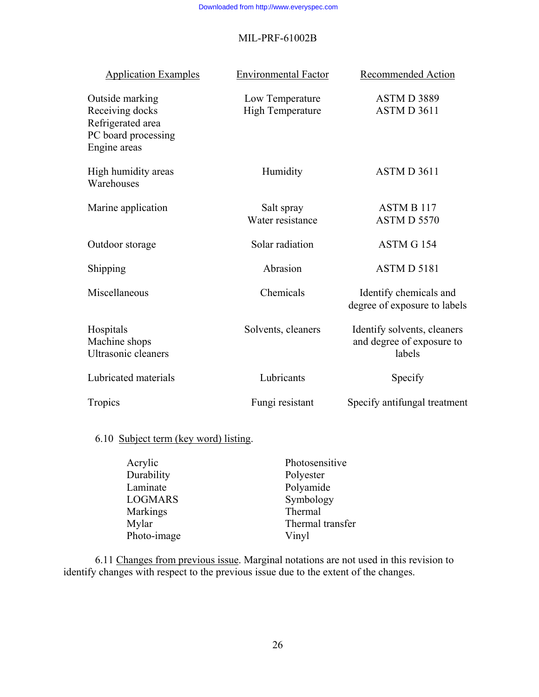| <b>Application Examples</b>                                                                    | <b>Environmental Factor</b>                | Recommended Action                                                 |
|------------------------------------------------------------------------------------------------|--------------------------------------------|--------------------------------------------------------------------|
| Outside marking<br>Receiving docks<br>Refrigerated area<br>PC board processing<br>Engine areas | Low Temperature<br><b>High Temperature</b> | ASTMD 3889<br>ASTM D 3611                                          |
| High humidity areas<br>Warehouses                                                              | Humidity                                   | ASTM D 3611                                                        |
| Marine application                                                                             | Salt spray<br>Water resistance             | <b>ASTM B 117</b><br>ASTM D 5570                                   |
| Outdoor storage                                                                                | Solar radiation                            | ASTM G 154                                                         |
| Shipping                                                                                       | Abrasion                                   | ASTMD 5181                                                         |
| Miscellaneous                                                                                  | Chemicals                                  | Identify chemicals and<br>degree of exposure to labels             |
| Hospitals<br>Machine shops<br><b>Ultrasonic cleaners</b>                                       | Solvents, cleaners                         | Identify solvents, cleaners<br>and degree of exposure to<br>labels |
| Lubricated materials                                                                           | Lubricants                                 | Specify                                                            |
| Tropics                                                                                        | Fungi resistant                            | Specify antifungal treatment                                       |

# 6.10 Subject term (key word) listing.

| Acrylic         | Photosensitive   |
|-----------------|------------------|
| Durability      | Polyester        |
| Laminate        | Polyamide        |
| <b>LOGMARS</b>  | Symbology        |
| <b>Markings</b> | Thermal          |
| Mylar           | Thermal transfer |
| Photo-image     | Vinyl            |

 6.11 Changes from previous issue. Marginal notations are not used in this revision to identify changes with respect to the previous issue due to the extent of the changes.